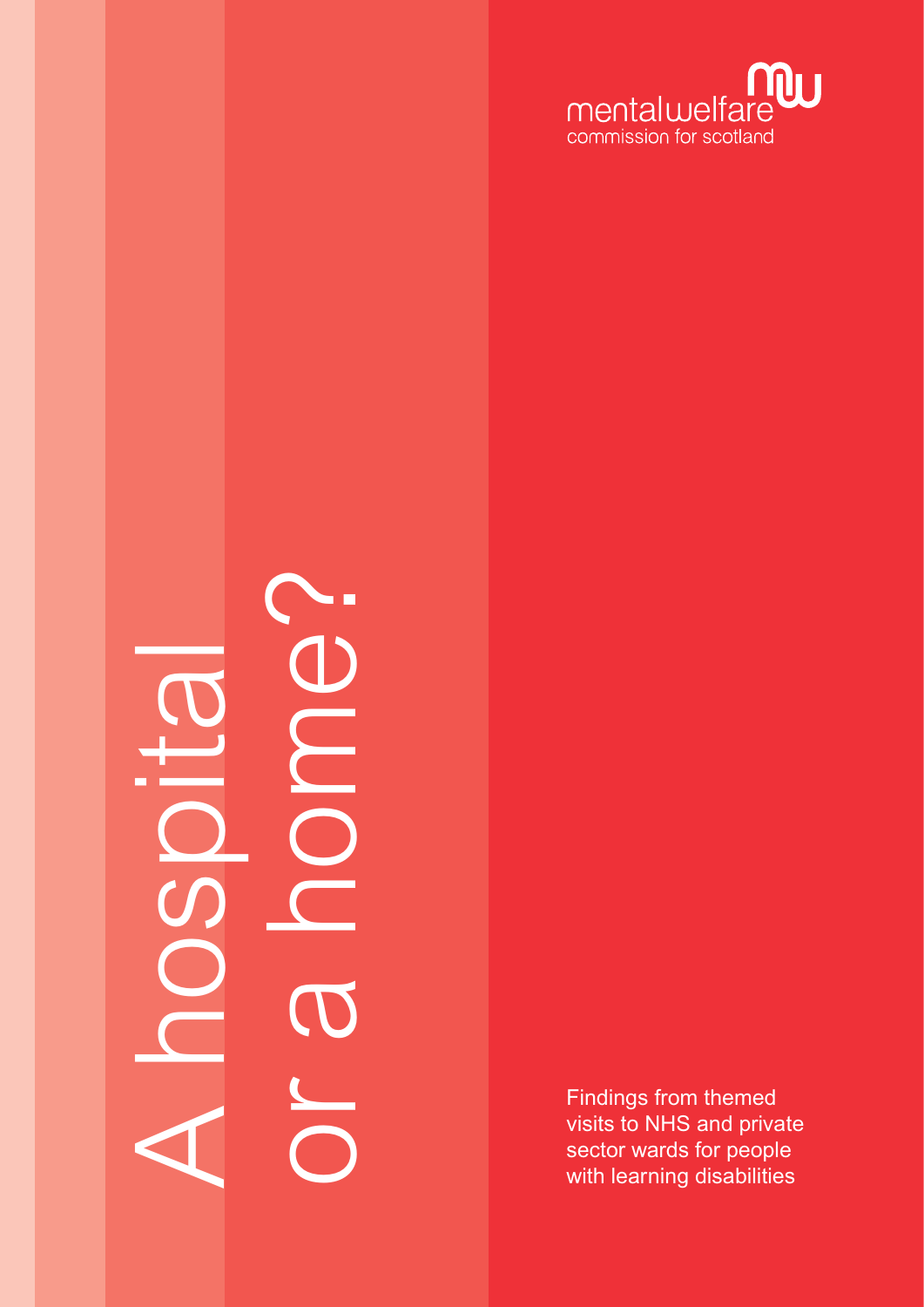

# or a home? E A hospital  $\Box$

Findings from themed visits to NHS and private sector wards for people with learning disabilities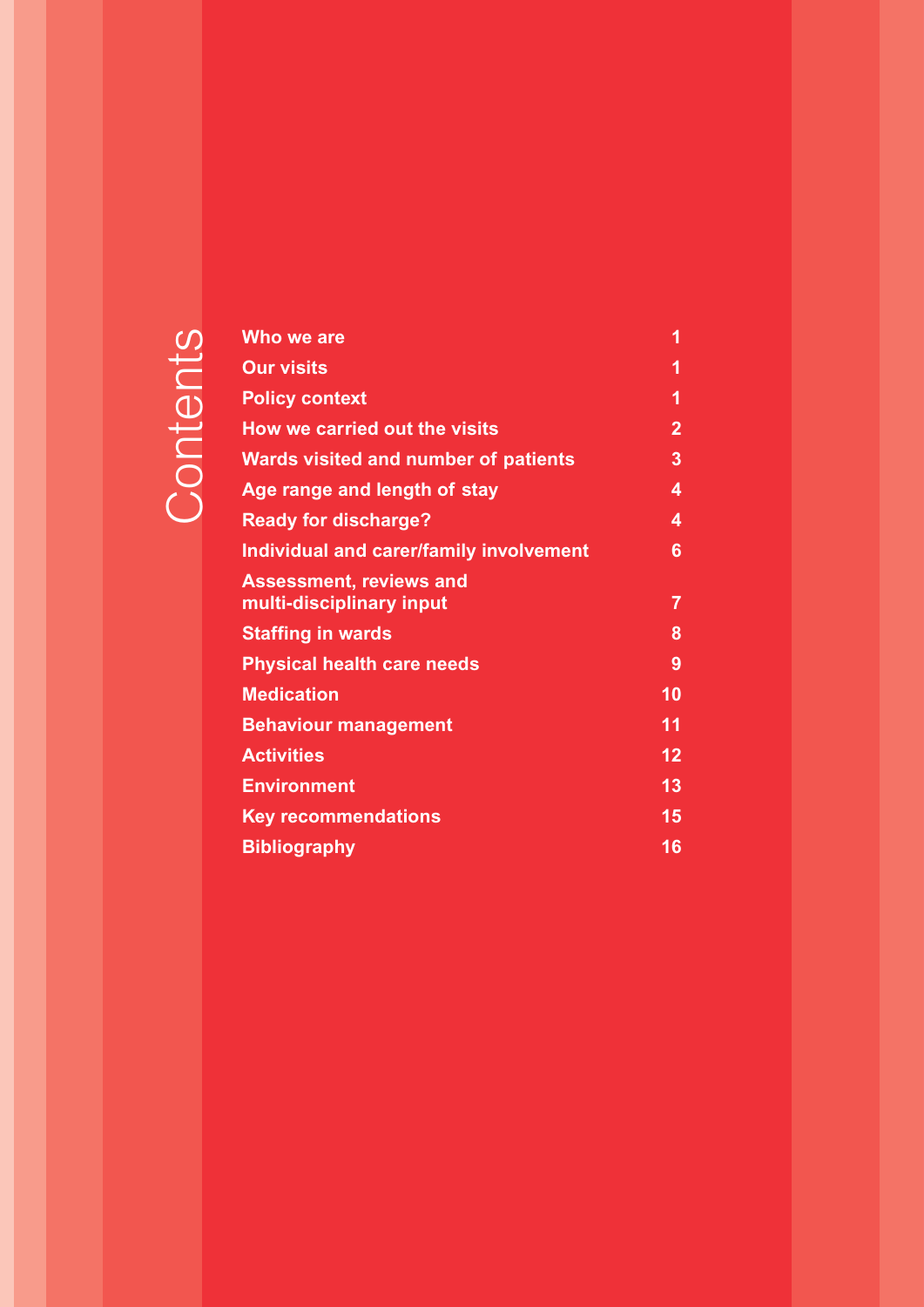## Contents **Contents**

| Who we are                                                 | 1              |
|------------------------------------------------------------|----------------|
| <b>Our visits</b>                                          | 1              |
| <b>Policy context</b>                                      | 1              |
| How we carried out the visits                              | $\overline{2}$ |
| <b>Wards visited and number of patients</b>                | $\overline{3}$ |
| Age range and length of stay                               | 4              |
| <b>Ready for discharge?</b>                                | 4              |
| Individual and carer/family involvement                    | 6              |
| <b>Assessment, reviews and</b><br>multi-disciplinary input | $\overline{7}$ |
| <b>Staffing in wards</b>                                   | 8              |
| <b>Physical health care needs</b>                          | 9              |
| <b>Medication</b>                                          | 10             |
| <b>Behaviour management</b>                                | 11             |
| <b>Activities</b>                                          | 12             |
| <b>Environment</b>                                         | 13             |
| <b>Key recommendations</b>                                 | 15             |
| <b>Bibliography</b>                                        | 16             |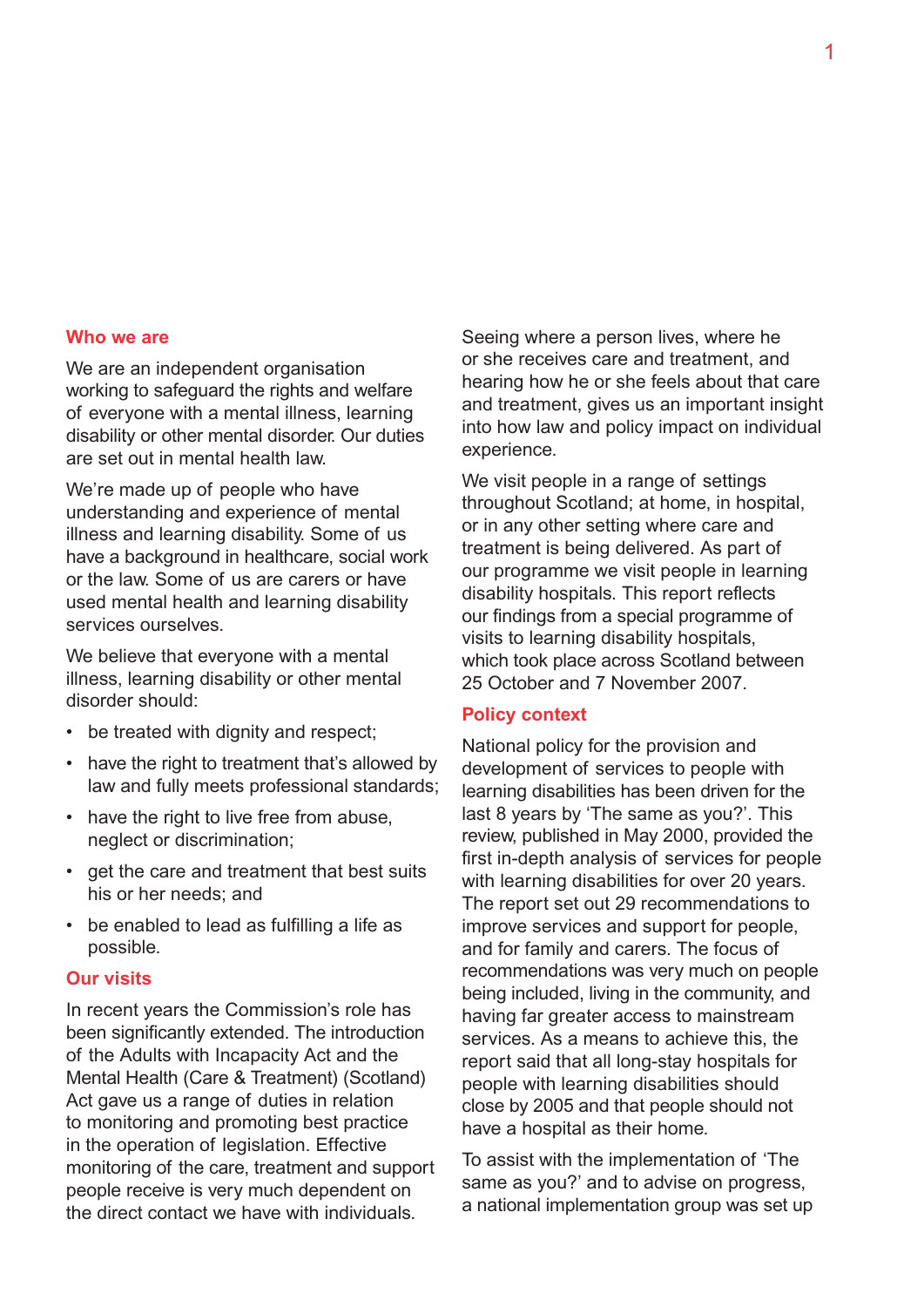#### **Who we are**

We are an independent organisation working to safeguard the rights and welfare of everyone with a mental illness, learning disability or other mental disorder. Our duties are set out in mental health law.

We're made up of people who have understanding and experience of mental illness and learning disability. Some of us have a background in healthcare, social work or the law. Some of us are carers or have used mental health and learning disability services ourselves.

We believe that everyone with a mental illness, learning disability or other mental disorder should:

- be treated with dignity and respect;
- have the right to treatment that's allowed by law and fully meets professional standards;
- have the right to live free from abuse, neglect or discrimination;
- get the care and treatment that best suits his or her needs; and
- be enabled to lead as fulfilling a life as possible.

#### **Our visits**

In recent years the Commission's role has been significantly extended. The introduction of the Adults with Incapacity Act and the Mental Health (Care & Treatment) (Scotland) Act gave us a range of duties in relation to monitoring and promoting best practice in the operation of legislation. Effective monitoring of the care, treatment and support people receive is very much dependent on the direct contact we have with individuals.

Seeing where a person lives, where he or she receives care and treatment, and hearing how he or she feels about that care and treatment, gives us an important insight into how law and policy impact on individual experience.

We visit people in a range of settings throughout Scotland; at home, in hospital, or in any other setting where care and treatment is being delivered. As part of our programme we visit people in learning disability hospitals. This report reflects our findings from a special programme of visits to learning disability hospitals, which took place across Scotland between 25 October and 7 November 2007.

#### **Policy context**

National policy for the provision and development of services to people with learning disabilities has been driven for the last 8 years by 'The same as you?'. This review, published in May 2000, provided the first in-depth analysis of services for people with learning disabilities for over 20 years. The report set out 29 recommendations to improve services and support for people, and for family and carers. The focus of recommendations was very much on people being included, living in the community, and having far greater access to mainstream services. As a means to achieve this, the report said that all long-stay hospitals for people with learning disabilities should close by 2005 and that people should not have a hospital as their home.

To assist with the implementation of 'The same as you?' and to advise on progress, a national implementation group was set up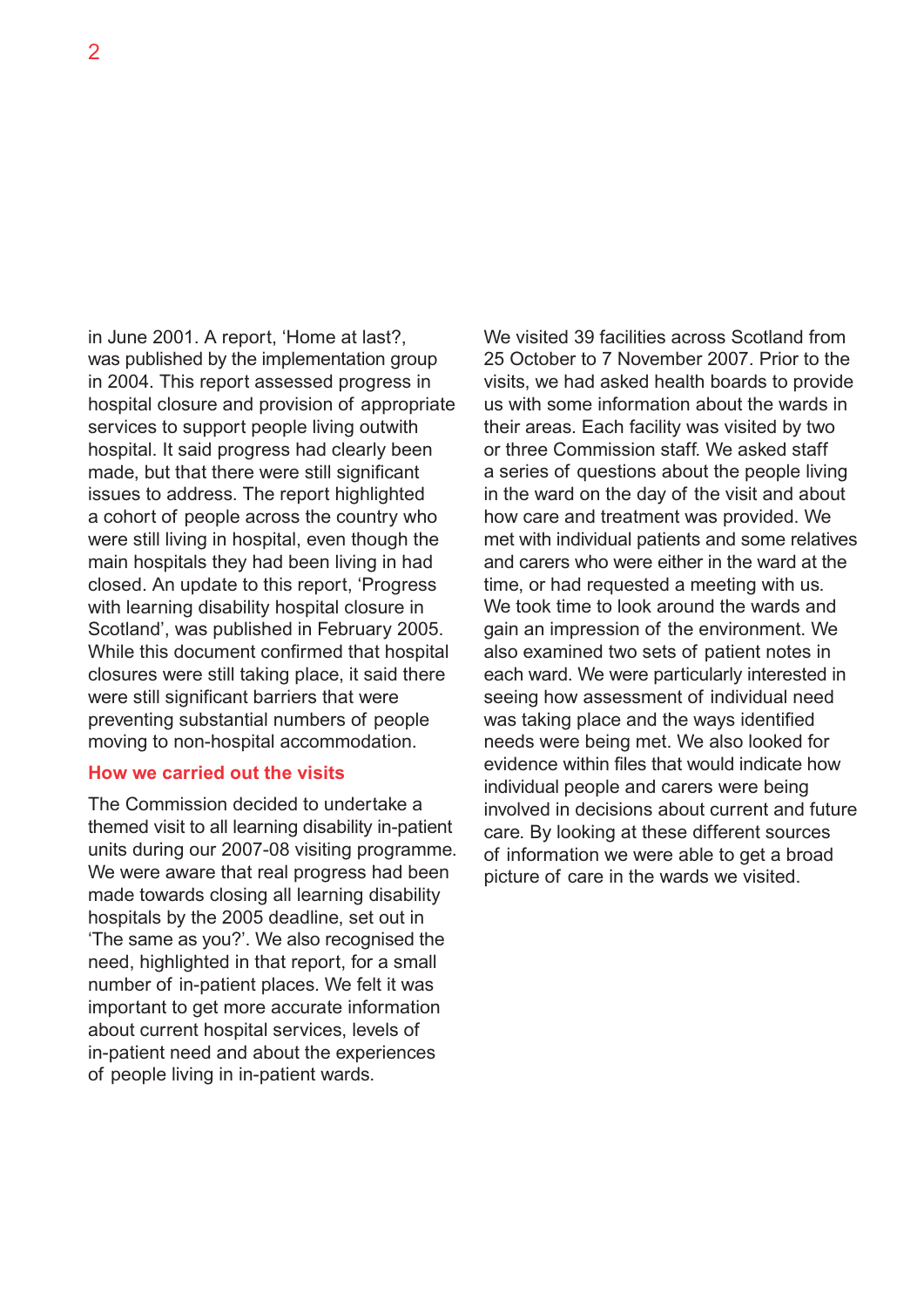in June 2001. A report, 'Home at last?, was published by the implementation group in 2004. This report assessed progress in hospital closure and provision of appropriate services to support people living outwith hospital. It said progress had clearly been made, but that there were still significant issues to address. The report highlighted a cohort of people across the country who were still living in hospital, even though the main hospitals they had been living in had closed. An update to this report, 'Progress with learning disability hospital closure in Scotland', was published in February 2005. While this document confirmed that hospital closures were still taking place, it said there were still significant barriers that were preventing substantial numbers of people moving to non-hospital accommodation.

#### **How we carried out the visits**

The Commission decided to undertake a themed visit to all learning disability in-patient units during our 2007-08 visiting programme. We were aware that real progress had been made towards closing all learning disability hospitals by the 2005 deadline, set out in 'The same as you?'. We also recognised the need, highlighted in that report, for a small number of in-patient places. We felt it was important to get more accurate information about current hospital services, levels of in-patient need and about the experiences of people living in in-patient wards.

We visited 39 facilities across Scotland from 25 October to 7 November 2007. Prior to the visits, we had asked health boards to provide us with some information about the wards in their areas. Each facility was visited by two or three Commission staff. We asked staff a series of questions about the people living in the ward on the day of the visit and about how care and treatment was provided. We met with individual patients and some relatives and carers who were either in the ward at the time, or had requested a meeting with us. We took time to look around the wards and gain an impression of the environment. We also examined two sets of patient notes in each ward. We were particularly interested in seeing how assessment of individual need was taking place and the ways identified needs were being met. We also looked for evidence within files that would indicate how individual people and carers were being involved in decisions about current and future care. By looking at these different sources of information we were able to get a broad picture of care in the wards we visited.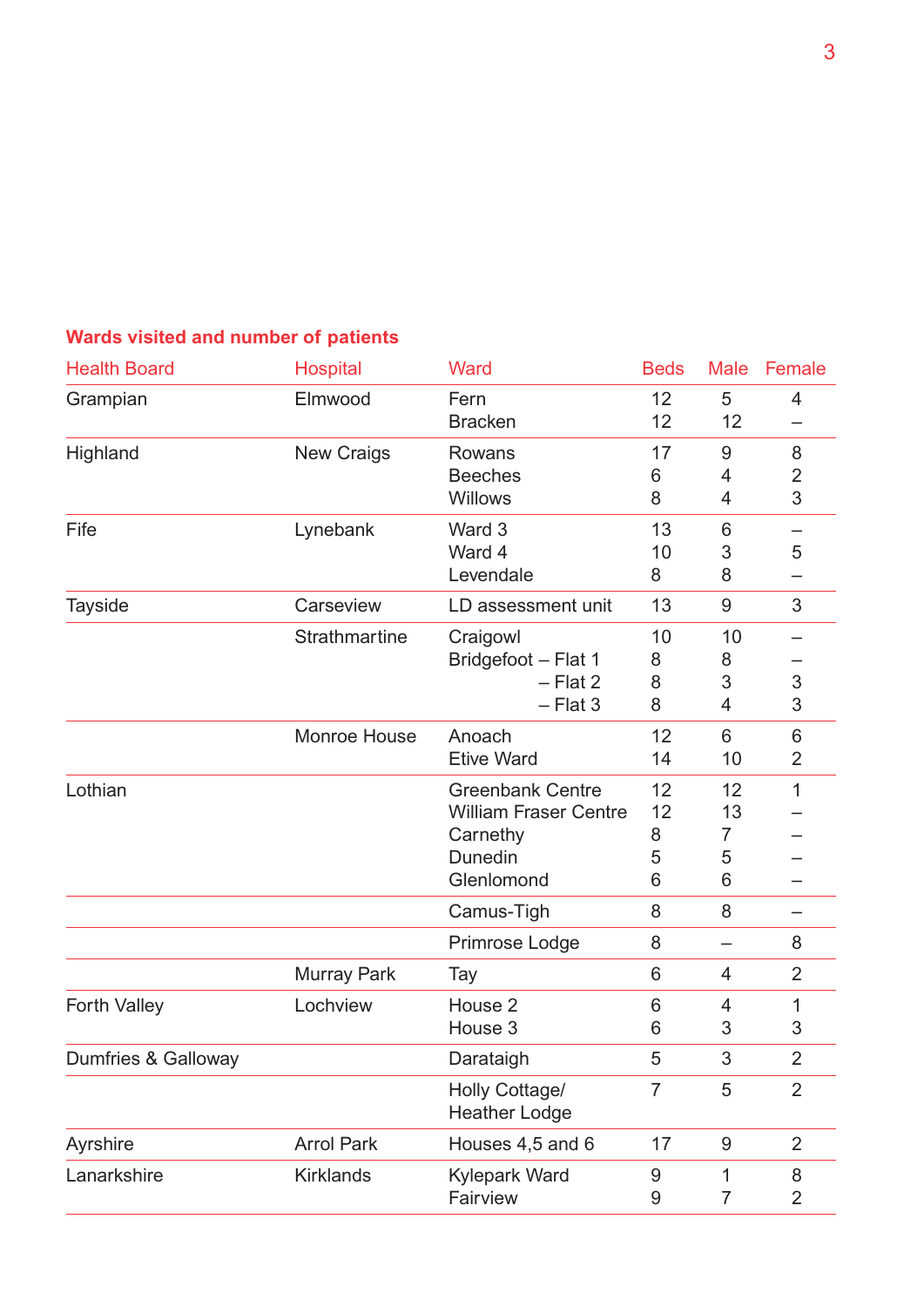### **Wards visited and number of patients**

| <b>Health Board</b> | <b>Hospital</b>      | Ward                                                                                         | <b>Beds</b>             | <b>Male</b>              | Female                   |
|---------------------|----------------------|----------------------------------------------------------------------------------------------|-------------------------|--------------------------|--------------------------|
| Grampian            | Elmwood              | Fern<br><b>Bracken</b>                                                                       | 12<br>12                | 5<br>12                  | 4                        |
| Highland            | <b>New Craigs</b>    | Rowans<br><b>Beeches</b><br><b>Willows</b>                                                   | 17<br>6<br>8            | 9<br>4<br>4              | 8<br>$\overline{2}$<br>3 |
| Fife                | Lynebank             | Ward 3<br>Ward 4<br>Levendale                                                                | 13<br>10<br>8           | 6<br>3<br>8              | 5                        |
| <b>Tayside</b>      | Carseview            | LD assessment unit                                                                           | 13                      | 9                        | 3                        |
|                     | <b>Strathmartine</b> | Craigowl<br>Bridgefoot - Flat 1<br>- Flat 2<br>$-$ Flat 3                                    | 10<br>8<br>8<br>8       | 10<br>8<br>3<br>4        | $\mathfrak 3$<br>3       |
|                     | <b>Monroe House</b>  | Anoach<br><b>Etive Ward</b>                                                                  | 12<br>14                | 6<br>10                  | 6<br>2                   |
| Lothian             |                      | <b>Greenbank Centre</b><br><b>William Fraser Centre</b><br>Carnethy<br>Dunedin<br>Glenlomond | 12<br>12<br>8<br>5<br>6 | 12<br>13<br>7<br>5<br>6  | $\mathbf 1$              |
|                     |                      | Camus-Tigh                                                                                   | 8                       | 8                        |                          |
|                     |                      | Primrose Lodge                                                                               | 8                       | $\overline{\phantom{0}}$ | 8                        |
|                     | <b>Murray Park</b>   | Tay                                                                                          | 6                       | 4                        | 2                        |
| <b>Forth Valley</b> | Lochview             | House <sub>2</sub><br>House 3                                                                | 6<br>6                  | 4<br>3                   | 1<br>3                   |
| Dumfries & Galloway |                      | Darataigh                                                                                    | 5                       | 3                        | $\overline{2}$           |
|                     |                      | Holly Cottage/<br><b>Heather Lodge</b>                                                       | $\overline{7}$          | 5                        | $\overline{2}$           |
| Ayrshire            | <b>Arrol Park</b>    | Houses 4,5 and 6                                                                             | 17                      | 9                        | $\overline{2}$           |
| Lanarkshire         | <b>Kirklands</b>     | <b>Kylepark Ward</b><br>Fairview                                                             | 9<br>9                  | 1<br>7                   | 8<br>$\overline{2}$      |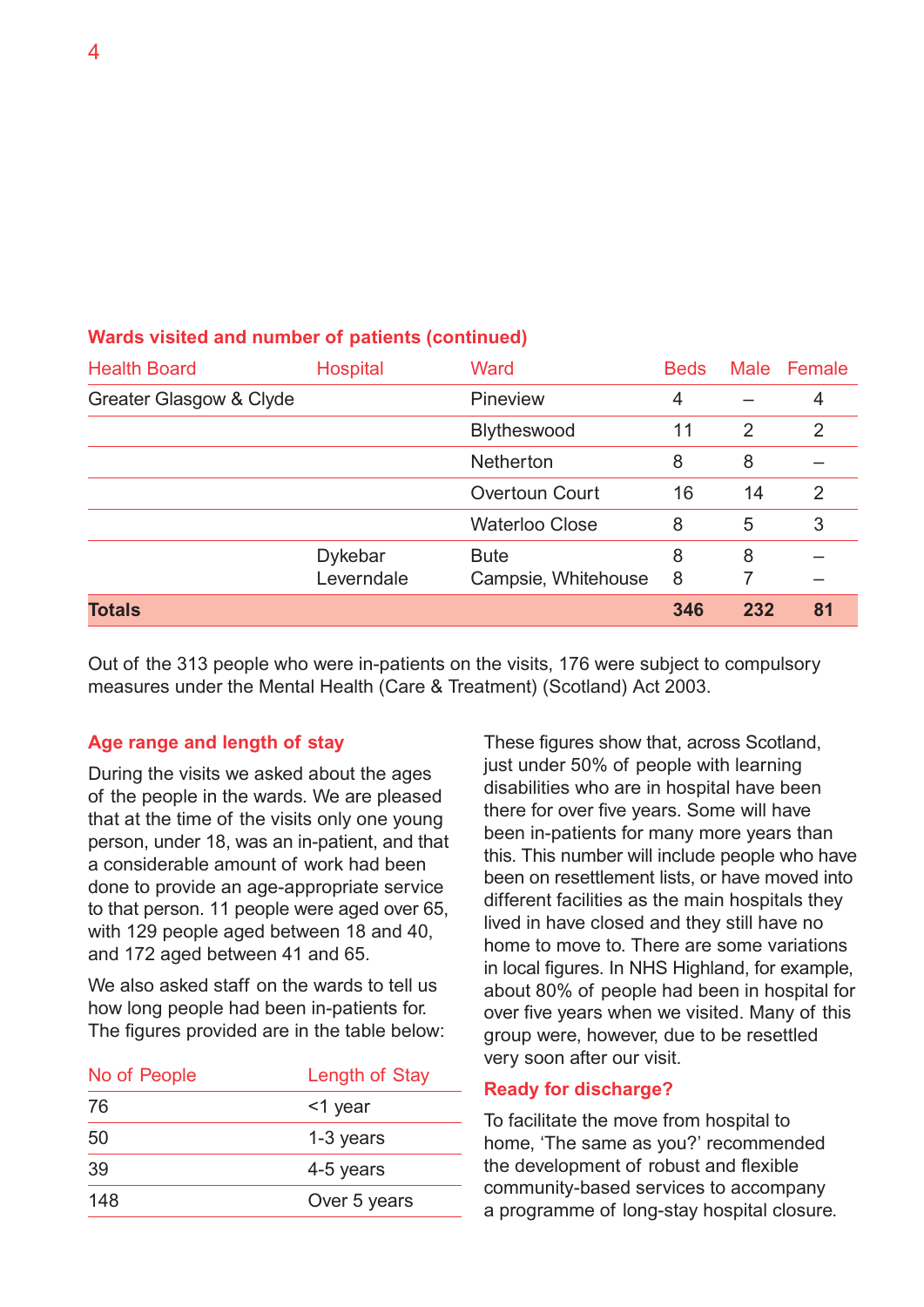| <b>Health Board</b>     | <b>Hospital</b>              | Ward                               | <b>Beds</b> |     | Male Female |
|-------------------------|------------------------------|------------------------------------|-------------|-----|-------------|
| Greater Glasgow & Clyde |                              | Pineview                           | 4           |     | 4           |
|                         |                              | Blytheswood                        | 11          | 2   | 2           |
|                         |                              | Netherton                          | 8           | 8   |             |
|                         |                              | <b>Overtoun Court</b>              | 16          | 14  | 2           |
|                         |                              | <b>Waterloo Close</b>              | 8           | 5   | 3           |
|                         | <b>Dykebar</b><br>Leverndale | <b>Bute</b><br>Campsie, Whitehouse | 8<br>8      | 8   |             |
| <b>Totals</b>           |                              |                                    | 346         | 232 | 81          |

#### **Wards visited and number of patients (continued)**

Out of the 313 people who were in-patients on the visits, 176 were subject to compulsory measures under the Mental Health (Care & Treatment) (Scotland) Act 2003.

#### **Age range and length of stay**

During the visits we asked about the ages of the people in the wards. We are pleased that at the time of the visits only one young person, under 18, was an in-patient, and that a considerable amount of work had been done to provide an age-appropriate service to that person. 11 people were aged over 65, with 129 people aged between 18 and 40, and 172 aged between 41 and 65.

We also asked staff on the wards to tell us how long people had been in-patients for. The figures provided are in the table below:

| No of People | Length of Stay |
|--------------|----------------|
| 76           | <1 year        |
| 50           | 1-3 years      |
| 39           | 4-5 years      |
| 148          | Over 5 years   |

These figures show that, across Scotland, just under 50% of people with learning disabilities who are in hospital have been there for over five years. Some will have been in-patients for many more years than this. This number will include people who have been on resettlement lists, or have moved into different facilities as the main hospitals they lived in have closed and they still have no home to move to. There are some variations in local figures. In NHS Highland, for example, about 80% of people had been in hospital for over five years when we visited. Many of this group were, however, due to be resettled very soon after our visit.

#### **Ready for discharge?**

To facilitate the move from hospital to home, 'The same as you?' recommended the development of robust and flexible community-based services to accompany a programme of long-stay hospital closure.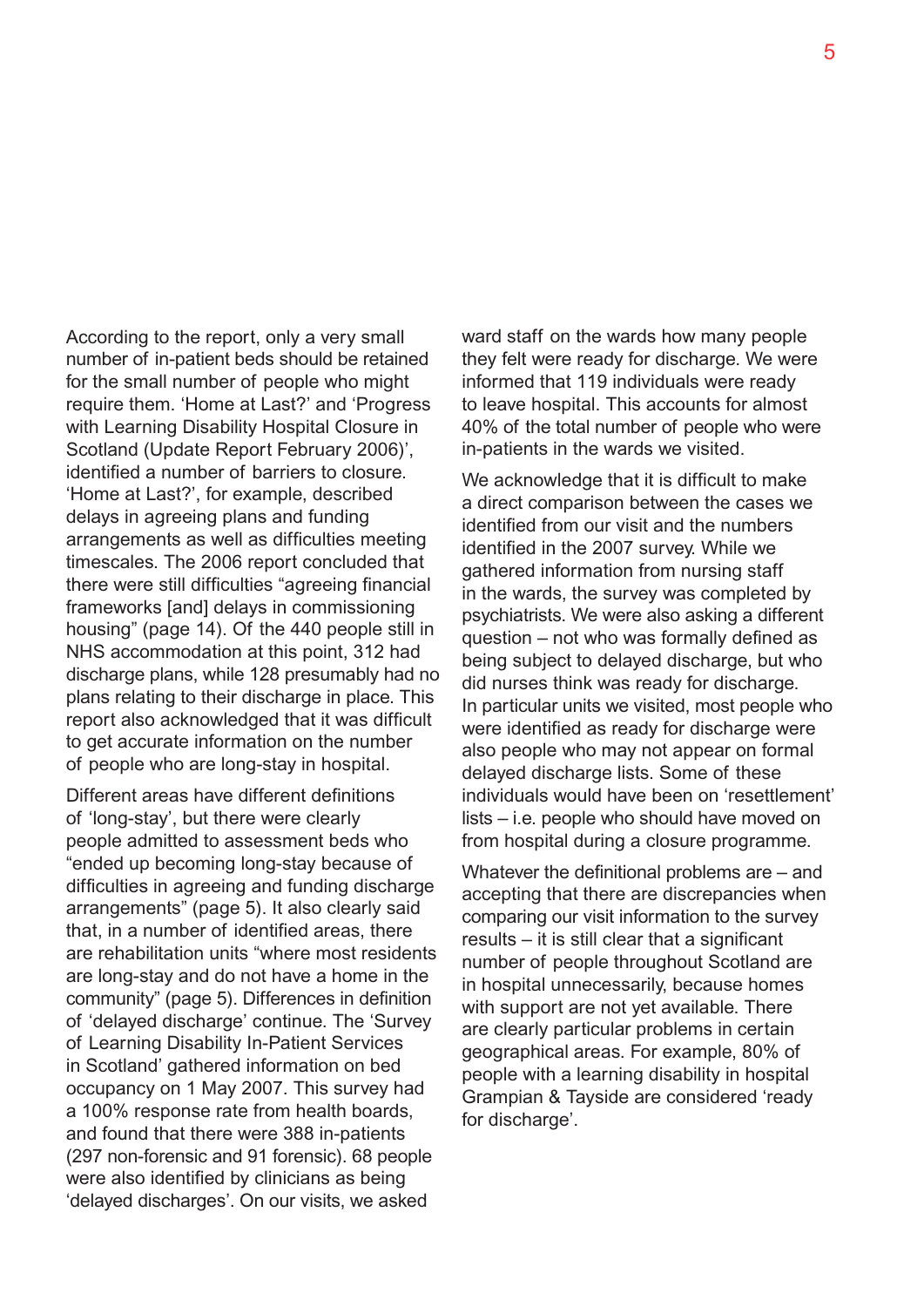According to the report, only a very small number of in-patient beds should be retained for the small number of people who might require them. 'Home at Last?' and 'Progress with Learning Disability Hospital Closure in Scotland (Update Report February 2006)', identified a number of barriers to closure. 'Home at Last?', for example, described delays in agreeing plans and funding arrangements as well as difficulties meeting timescales. The 2006 report concluded that there were still difficulties "agreeing financial frameworks [and] delays in commissioning housing" (page 14). Of the 440 people still in NHS accommodation at this point, 312 had discharge plans, while 128 presumably had no plans relating to their discharge in place. This report also acknowledged that it was difficult to get accurate information on the number of people who are long-stay in hospital.

Different areas have different definitions of 'long-stay', but there were clearly people admitted to assessment beds who "ended up becoming long-stay because of difficulties in agreeing and funding discharge arrangements" (page 5). It also clearly said that, in a number of identified areas, there are rehabilitation units "where most residents are long-stay and do not have a home in the community" (page 5). Differences in definition of 'delayed discharge' continue. The 'Survey of Learning Disability In-Patient Services in Scotland' gathered information on bed occupancy on 1 May 2007. This survey had a 100% response rate from health boards, and found that there were 388 in-patients (297 non-forensic and 91 forensic). 68 people were also identified by clinicians as being 'delayed discharges'. On our visits, we asked

ward staff on the wards how many people they felt were ready for discharge. We were informed that 119 individuals were ready to leave hospital. This accounts for almost 40% of the total number of people who were in-patients in the wards we visited.

We acknowledge that it is difficult to make a direct comparison between the cases we identified from our visit and the numbers identified in the 2007 survey. While we gathered information from nursing staff in the wards, the survey was completed by psychiatrists. We were also asking a different question – not who was formally defined as being subject to delayed discharge, but who did nurses think was ready for discharge. In particular units we visited, most people who were identified as ready for discharge were also people who may not appear on formal delayed discharge lists. Some of these individuals would have been on 'resettlement' lists – i.e. people who should have moved on from hospital during a closure programme.

Whatever the definitional problems are – and accepting that there are discrepancies when comparing our visit information to the survey results – it is still clear that a significant number of people throughout Scotland are in hospital unnecessarily, because homes with support are not yet available. There are clearly particular problems in certain geographical areas. For example, 80% of people with a learning disability in hospital Grampian & Tayside are considered 'ready for discharge'.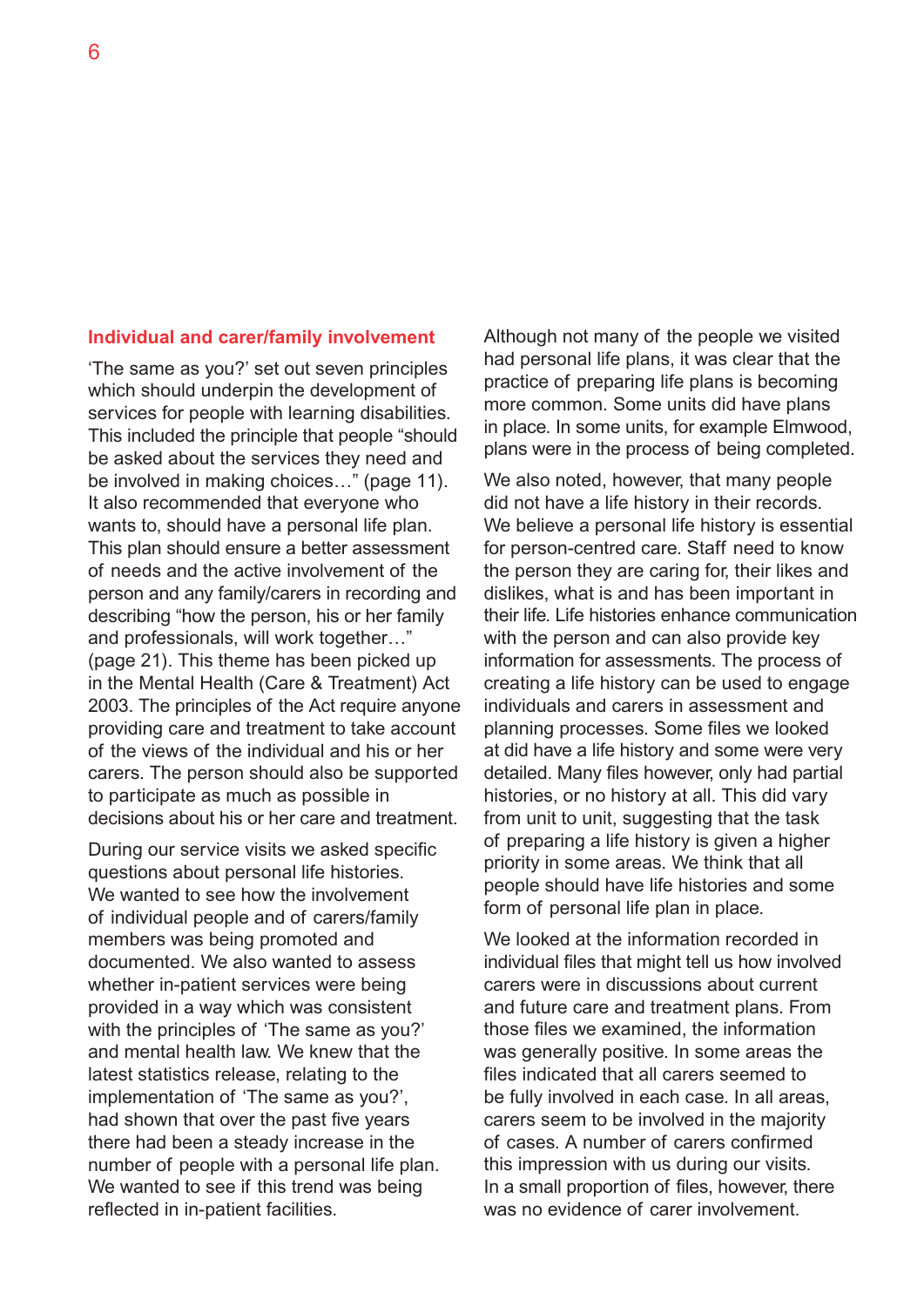#### **Individual and carer/family involvement**

'The same as you?' set out seven principles which should underpin the development of services for people with learning disabilities. This included the principle that people "should be asked about the services they need and be involved in making choices…" (page 11). It also recommended that everyone who wants to, should have a personal life plan. This plan should ensure a better assessment of needs and the active involvement of the person and any family/carers in recording and describing "how the person, his or her family and professionals, will work together…" (page 21). This theme has been picked up in the Mental Health (Care & Treatment) Act 2003. The principles of the Act require anyone providing care and treatment to take account of the views of the individual and his or her carers. The person should also be supported to participate as much as possible in decisions about his or her care and treatment.

During our service visits we asked specific questions about personal life histories. We wanted to see how the involvement of individual people and of carers/family members was being promoted and documented. We also wanted to assess whether in-patient services were being provided in a way which was consistent with the principles of 'The same as you?' and mental health law. We knew that the latest statistics release, relating to the implementation of 'The same as you?', had shown that over the past five years there had been a steady increase in the number of people with a personal life plan. We wanted to see if this trend was being reflected in in-patient facilities.

Although not many of the people we visited had personal life plans, it was clear that the practice of preparing life plans is becoming more common. Some units did have plans in place. In some units, for example Elmwood, plans were in the process of being completed.

We also noted, however, that many people did not have a life history in their records. We believe a personal life history is essential for person-centred care. Staff need to know the person they are caring for, their likes and dislikes, what is and has been important in their life. Life histories enhance communication with the person and can also provide key information for assessments. The process of creating a life history can be used to engage individuals and carers in assessment and planning processes. Some files we looked at did have a life history and some were very detailed. Many files however, only had partial histories, or no history at all. This did vary from unit to unit, suggesting that the task of preparing a life history is given a higher priority in some areas. We think that all people should have life histories and some form of personal life plan in place.

We looked at the information recorded in individual files that might tell us how involved carers were in discussions about current and future care and treatment plans. From those files we examined, the information was generally positive. In some areas the files indicated that all carers seemed to be fully involved in each case. In all areas, carers seem to be involved in the majority of cases. A number of carers confirmed this impression with us during our visits. In a small proportion of files, however, there was no evidence of carer involvement.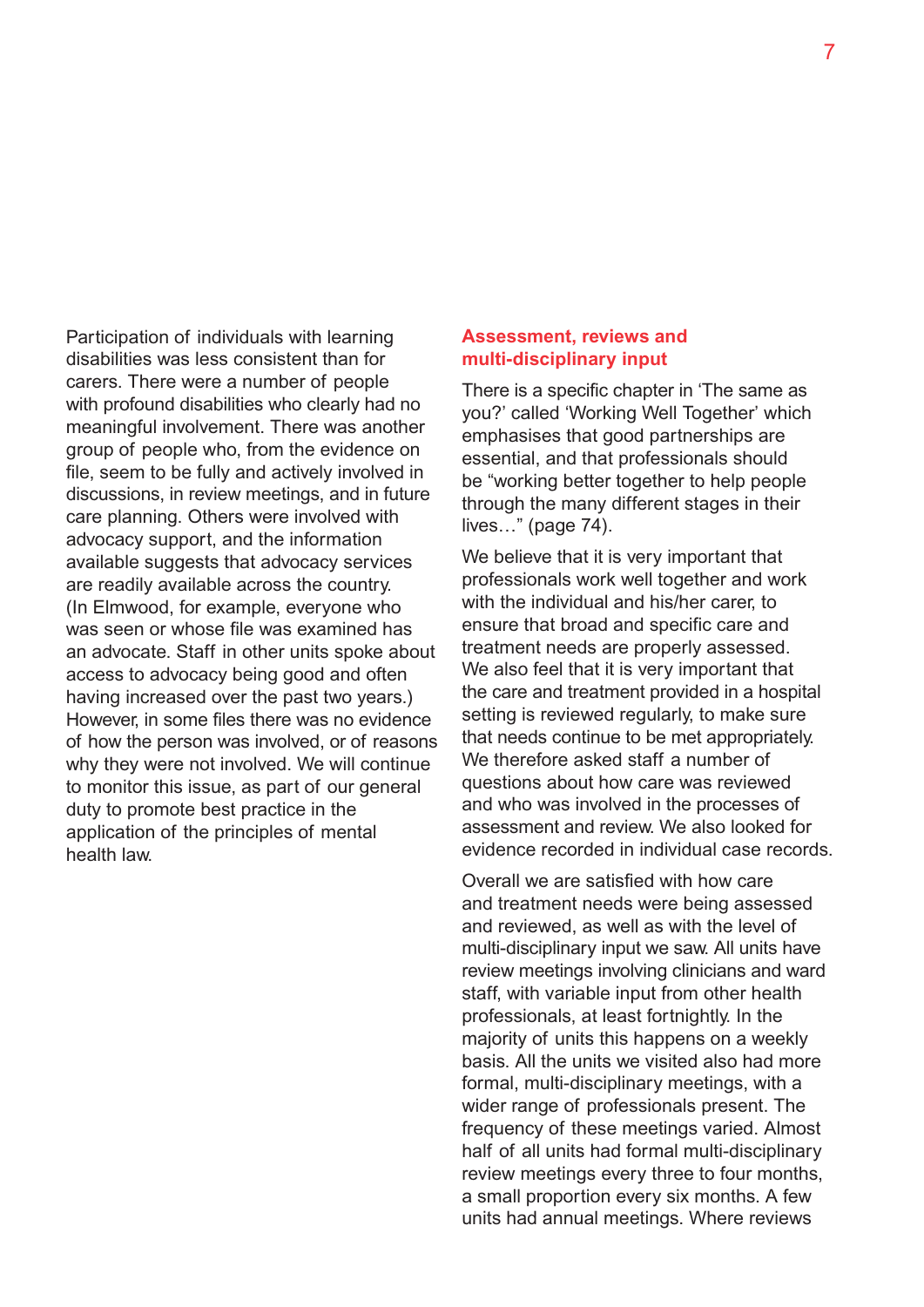Participation of individuals with learning disabilities was less consistent than for carers. There were a number of people with profound disabilities who clearly had no meaningful involvement. There was another group of people who, from the evidence on file, seem to be fully and actively involved in discussions, in review meetings, and in future care planning. Others were involved with advocacy support, and the information available suggests that advocacy services are readily available across the country. (In Elmwood, for example, everyone who was seen or whose file was examined has an advocate. Staff in other units spoke about access to advocacy being good and often having increased over the past two years.) However, in some files there was no evidence of how the person was involved, or of reasons why they were not involved. We will continue to monitor this issue, as part of our general duty to promote best practice in the application of the principles of mental health law.

#### **Assessment, reviews and multi-disciplinary input**

There is a specific chapter in 'The same as you?' called 'Working Well Together' which emphasises that good partnerships are essential, and that professionals should be "working better together to help people through the many different stages in their lives…" (page 74).

We believe that it is very important that professionals work well together and work with the individual and his/her carer, to ensure that broad and specific care and treatment needs are properly assessed. We also feel that it is very important that the care and treatment provided in a hospital setting is reviewed regularly, to make sure that needs continue to be met appropriately. We therefore asked staff a number of questions about how care was reviewed and who was involved in the processes of assessment and review. We also looked for evidence recorded in individual case records.

Overall we are satisfied with how care and treatment needs were being assessed and reviewed, as well as with the level of multi-disciplinary input we saw. All units have review meetings involving clinicians and ward staff, with variable input from other health professionals, at least fortnightly. In the majority of units this happens on a weekly basis. All the units we visited also had more formal, multi-disciplinary meetings, with a wider range of professionals present. The frequency of these meetings varied. Almost half of all units had formal multi-disciplinary review meetings every three to four months, a small proportion every six months. A few units had annual meetings. Where reviews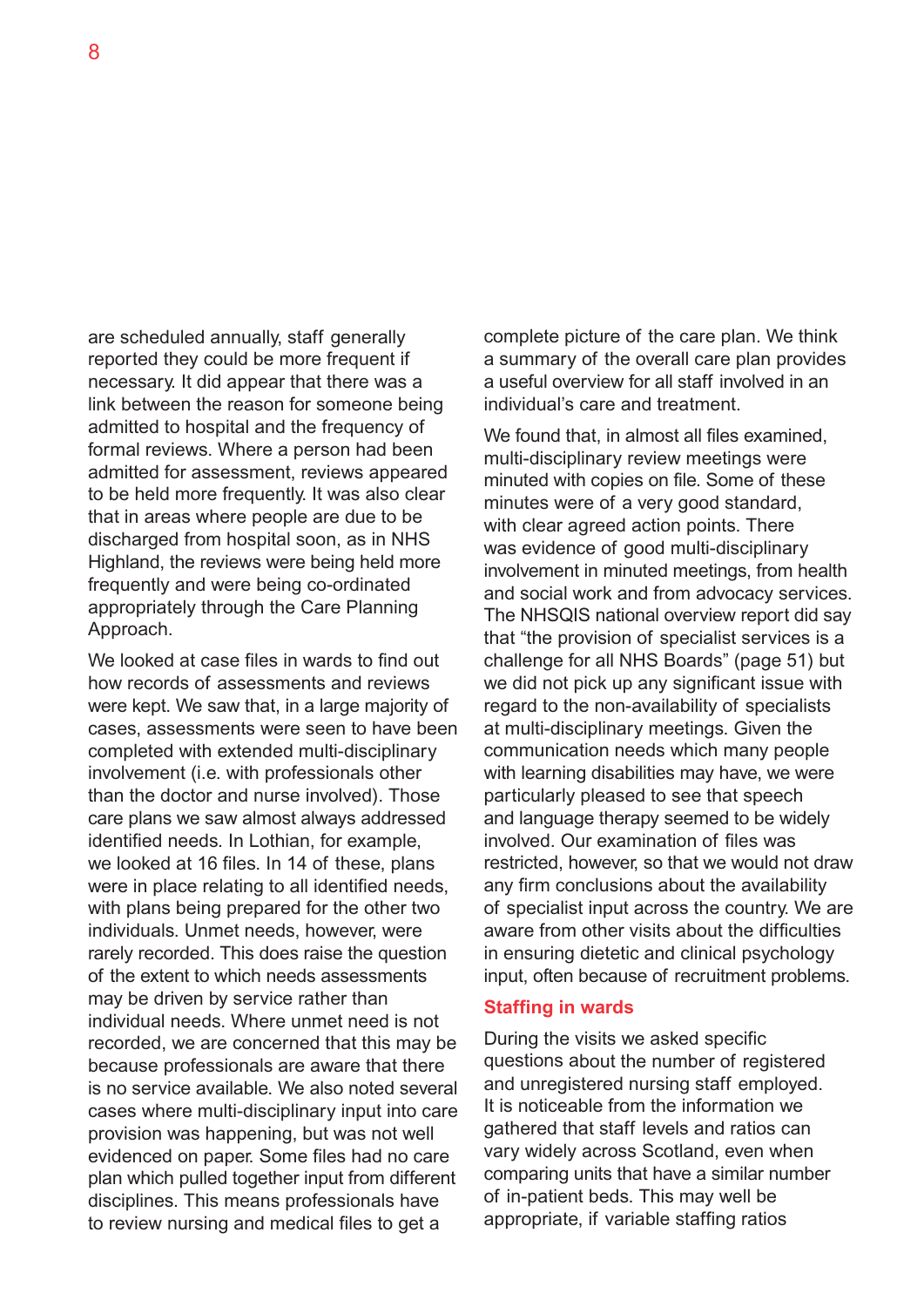are scheduled annually, staff generally reported they could be more frequent if necessary. It did appear that there was a link between the reason for someone being admitted to hospital and the frequency of formal reviews. Where a person had been admitted for assessment, reviews appeared to be held more frequently. It was also clear that in areas where people are due to be discharged from hospital soon, as in NHS Highland, the reviews were being held more frequently and were being co-ordinated appropriately through the Care Planning Approach.

We looked at case files in wards to find out how records of assessments and reviews were kept. We saw that, in a large majority of cases, assessments were seen to have been completed with extended multi-disciplinary involvement (i.e. with professionals other than the doctor and nurse involved). Those care plans we saw almost always addressed identified needs. In Lothian, for example, we looked at 16 files. In 14 of these, plans were in place relating to all identified needs, with plans being prepared for the other two individuals. Unmet needs, however, were rarely recorded. This does raise the question of the extent to which needs assessments may be driven by service rather than individual needs. Where unmet need is not recorded, we are concerned that this may be because professionals are aware that there is no service available. We also noted several cases where multi-disciplinary input into care provision was happening, but was not well evidenced on paper. Some files had no care plan which pulled together input from different disciplines. This means professionals have to review nursing and medical files to get a

complete picture of the care plan. We think a summary of the overall care plan provides a useful overview for all staff involved in an individual's care and treatment.

We found that, in almost all files examined. multi-disciplinary review meetings were minuted with copies on file. Some of these minutes were of a very good standard, with clear agreed action points. There was evidence of good multi-disciplinary involvement in minuted meetings, from health and social work and from advocacy services. The NHSQIS national overview report did say that "the provision of specialist services is a challenge for all NHS Boards" (page 51) but we did not pick up any significant issue with regard to the non-availability of specialists at multi-disciplinary meetings. Given the communication needs which many people with learning disabilities may have, we were particularly pleased to see that speech and language therapy seemed to be widely involved. Our examination of files was restricted, however, so that we would not draw any firm conclusions about the availability of specialist input across the country. We are aware from other visits about the difficulties in ensuring dietetic and clinical psychology input, often because of recruitment problems.

#### **Staffing in wards**

During the visits we asked specific questions about the number of registered and unregistered nursing staff employed. It is noticeable from the information we gathered that staff levels and ratios can vary widely across Scotland, even when comparing units that have a similar number of in-patient beds. This may well be appropriate, if variable staffing ratios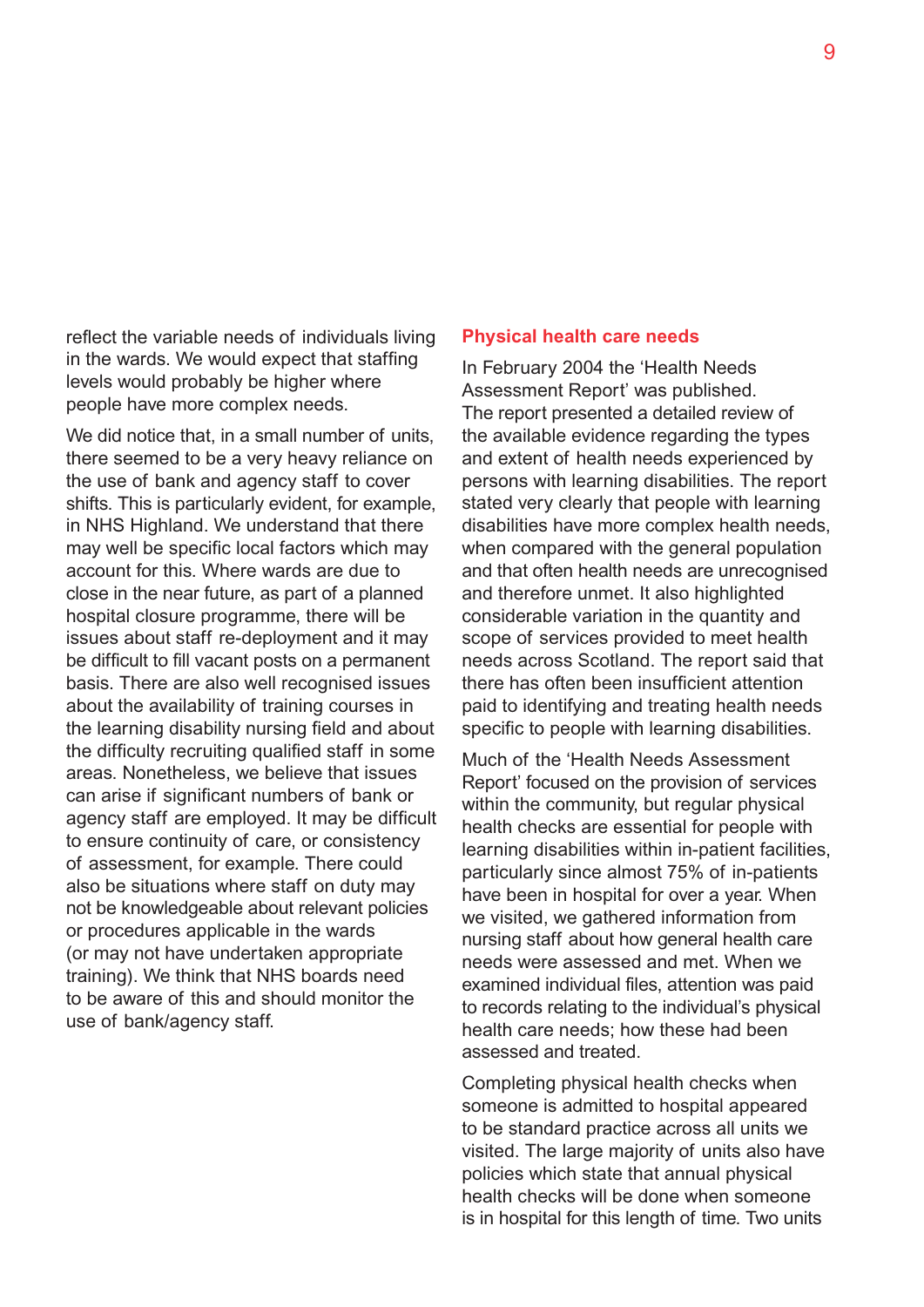reflect the variable needs of individuals living in the wards. We would expect that staffing levels would probably be higher where people have more complex needs.

We did notice that, in a small number of units, there seemed to be a very heavy reliance on the use of bank and agency staff to cover shifts. This is particularly evident, for example, in NHS Highland. We understand that there may well be specific local factors which may account for this. Where wards are due to close in the near future, as part of a planned hospital closure programme, there will be issues about staff re-deployment and it may be difficult to fill vacant posts on a permanent basis. There are also well recognised issues about the availability of training courses in the learning disability nursing field and about the difficulty recruiting qualified staff in some areas. Nonetheless, we believe that issues can arise if significant numbers of bank or agency staff are employed. It may be difficult to ensure continuity of care, or consistency of assessment, for example. There could also be situations where staff on duty may not be knowledgeable about relevant policies or procedures applicable in the wards (or may not have undertaken appropriate training). We think that NHS boards need to be aware of this and should monitor the use of bank/agency staff.

#### **Physical health care needs**

In February 2004 the 'Health Needs Assessment Report' was published. The report presented a detailed review of the available evidence regarding the types and extent of health needs experienced by persons with learning disabilities. The report stated very clearly that people with learning disabilities have more complex health needs, when compared with the general population and that often health needs are unrecognised and therefore unmet. It also highlighted considerable variation in the quantity and scope of services provided to meet health needs across Scotland. The report said that there has often been insufficient attention paid to identifying and treating health needs specific to people with learning disabilities.

Much of the 'Health Needs Assessment Report' focused on the provision of services within the community, but regular physical health checks are essential for people with learning disabilities within in-patient facilities, particularly since almost 75% of in-patients have been in hospital for over a year. When we visited, we gathered information from nursing staff about how general health care needs were assessed and met. When we examined individual files, attention was paid to records relating to the individual's physical health care needs; how these had been assessed and treated.

Completing physical health checks when someone is admitted to hospital appeared to be standard practice across all units we visited. The large majority of units also have policies which state that annual physical health checks will be done when someone is in hospital for this length of time. Two units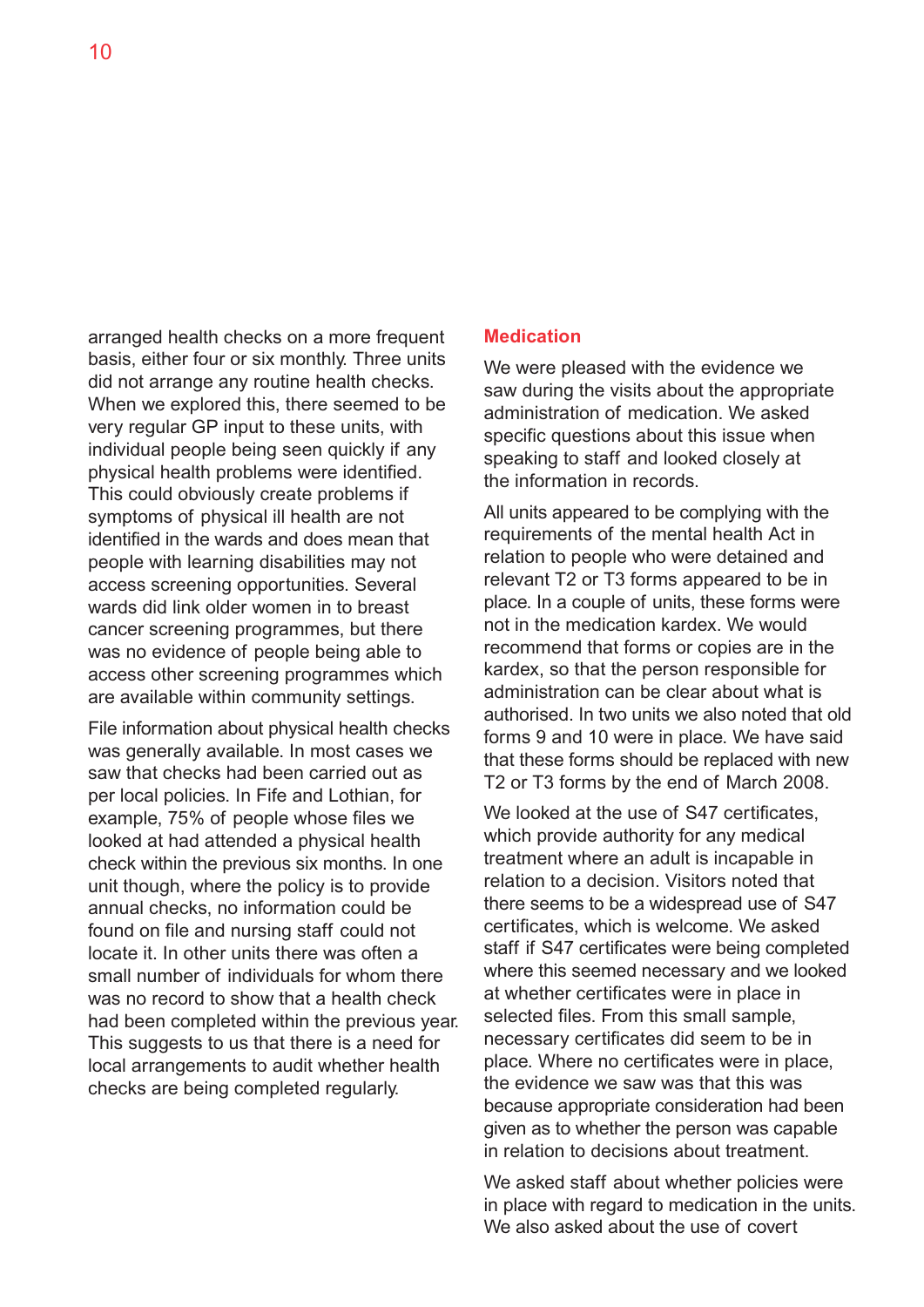arranged health checks on a more frequent basis, either four or six monthly. Three units did not arrange any routine health checks. When we explored this, there seemed to be very regular GP input to these units, with individual people being seen quickly if any physical health problems were identified. This could obviously create problems if symptoms of physical ill health are not identified in the wards and does mean that people with learning disabilities may not access screening opportunities. Several wards did link older women in to breast cancer screening programmes, but there was no evidence of people being able to access other screening programmes which are available within community settings.

File information about physical health checks was generally available. In most cases we saw that checks had been carried out as per local policies. In Fife and Lothian, for example, 75% of people whose files we looked at had attended a physical health check within the previous six months. In one unit though, where the policy is to provide annual checks, no information could be found on file and nursing staff could not locate it. In other units there was often a small number of individuals for whom there was no record to show that a health check had been completed within the previous year. This suggests to us that there is a need for local arrangements to audit whether health checks are being completed regularly.

#### **Medication**

We were pleased with the evidence we saw during the visits about the appropriate administration of medication. We asked specific questions about this issue when speaking to staff and looked closely at the information in records.

All units appeared to be complying with the requirements of the mental health Act in relation to people who were detained and relevant T2 or T3 forms appeared to be in place. In a couple of units, these forms were not in the medication kardex. We would recommend that forms or copies are in the kardex, so that the person responsible for administration can be clear about what is authorised. In two units we also noted that old forms 9 and 10 were in place. We have said that these forms should be replaced with new T2 or T3 forms by the end of March 2008.

We looked at the use of S47 certificates, which provide authority for any medical treatment where an adult is incapable in relation to a decision. Visitors noted that there seems to be a widespread use of S47 certificates, which is welcome. We asked staff if S47 certificates were being completed where this seemed necessary and we looked at whether certificates were in place in selected files. From this small sample, necessary certificates did seem to be in place. Where no certificates were in place, the evidence we saw was that this was because appropriate consideration had been given as to whether the person was capable in relation to decisions about treatment.

We asked staff about whether policies were in place with regard to medication in the units. We also asked about the use of covert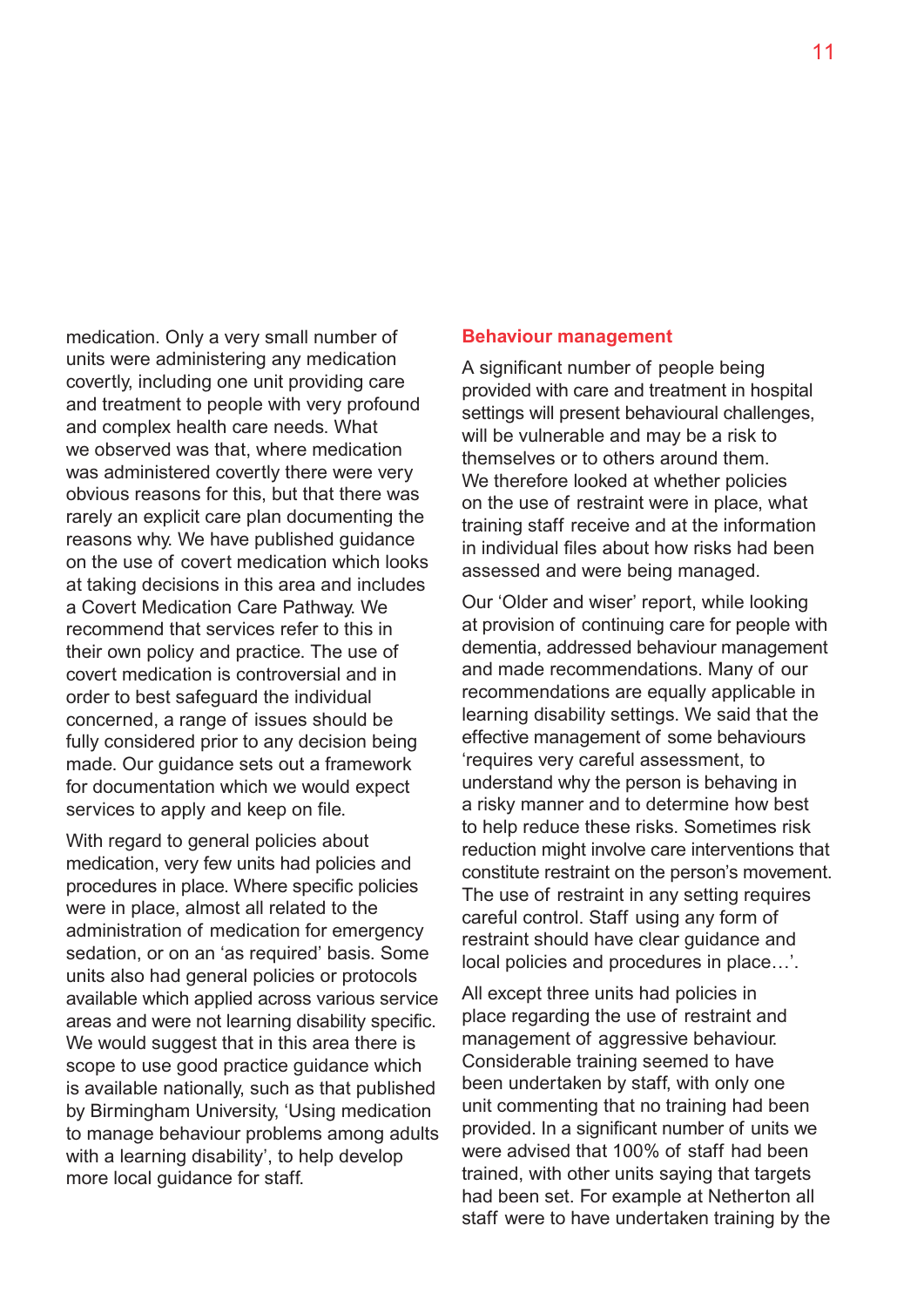medication. Only a very small number of units were administering any medication covertly, including one unit providing care and treatment to people with very profound and complex health care needs. What we observed was that, where medication was administered covertly there were very obvious reasons for this, but that there was rarely an explicit care plan documenting the reasons why. We have published guidance on the use of covert medication which looks at taking decisions in this area and includes a Covert Medication Care Pathway. We recommend that services refer to this in their own policy and practice. The use of covert medication is controversial and in order to best safeguard the individual concerned, a range of issues should be fully considered prior to any decision being made. Our guidance sets out a framework for documentation which we would expect services to apply and keep on file.

With regard to general policies about medication, very few units had policies and procedures in place. Where specific policies were in place, almost all related to the administration of medication for emergency sedation, or on an 'as required' basis. Some units also had general policies or protocols available which applied across various service areas and were not learning disability specific. We would suggest that in this area there is scope to use good practice guidance which is available nationally, such as that published by Birmingham University, 'Using medication to manage behaviour problems among adults with a learning disability', to help develop more local guidance for staff.

#### **Behaviour management**

A significant number of people being provided with care and treatment in hospital settings will present behavioural challenges, will be vulnerable and may be a risk to themselves or to others around them. We therefore looked at whether policies on the use of restraint were in place, what training staff receive and at the information in individual files about how risks had been assessed and were being managed.

Our 'Older and wiser' report, while looking at provision of continuing care for people with dementia, addressed behaviour management and made recommendations. Many of our recommendations are equally applicable in learning disability settings. We said that the effective management of some behaviours 'requires very careful assessment, to understand why the person is behaving in a risky manner and to determine how best to help reduce these risks. Sometimes risk reduction might involve care interventions that constitute restraint on the person's movement. The use of restraint in any setting requires careful control. Staff using any form of restraint should have clear guidance and local policies and procedures in place…'.

All except three units had policies in place regarding the use of restraint and management of aggressive behaviour. Considerable training seemed to have been undertaken by staff, with only one unit commenting that no training had been provided. In a significant number of units we were advised that 100% of staff had been trained, with other units saying that targets had been set. For example at Netherton all staff were to have undertaken training by the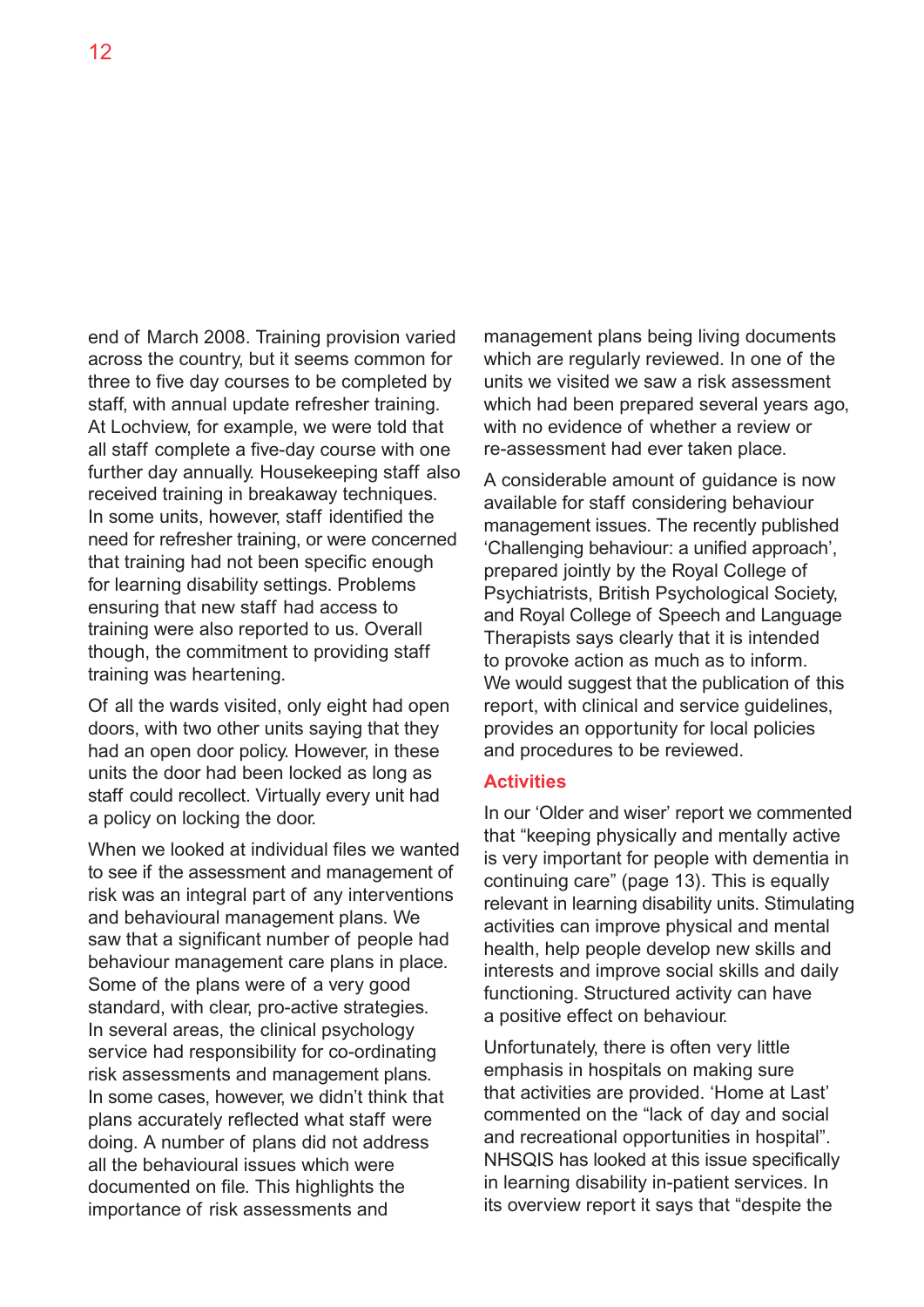end of March 2008. Training provision varied across the country, but it seems common for three to five day courses to be completed by staff, with annual update refresher training. At Lochview, for example, we were told that all staff complete a five-day course with one further day annually. Housekeeping staff also received training in breakaway techniques. In some units, however, staff identified the need for refresher training, or were concerned that training had not been specific enough for learning disability settings. Problems ensuring that new staff had access to training were also reported to us. Overall though, the commitment to providing staff training was heartening.

Of all the wards visited, only eight had open doors, with two other units saying that they had an open door policy. However, in these units the door had been locked as long as staff could recollect. Virtually every unit had a policy on locking the door.

When we looked at individual files we wanted to see if the assessment and management of risk was an integral part of any interventions and behavioural management plans. We saw that a significant number of people had behaviour management care plans in place. Some of the plans were of a very good standard, with clear, pro-active strategies. In several areas, the clinical psychology service had responsibility for co-ordinating risk assessments and management plans. In some cases, however, we didn't think that plans accurately reflected what staff were doing. A number of plans did not address all the behavioural issues which were documented on file. This highlights the importance of risk assessments and

management plans being living documents which are regularly reviewed. In one of the units we visited we saw a risk assessment which had been prepared several years ago, with no evidence of whether a review or re-assessment had ever taken place.

A considerable amount of guidance is now available for staff considering behaviour management issues. The recently published 'Challenging behaviour: a unified approach', prepared jointly by the Royal College of Psychiatrists, British Psychological Society, and Royal College of Speech and Language Therapists says clearly that it is intended to provoke action as much as to inform. We would suggest that the publication of this report, with clinical and service guidelines, provides an opportunity for local policies and procedures to be reviewed.

#### **Activities**

In our 'Older and wiser' report we commented that "keeping physically and mentally active is very important for people with dementia in continuing care" (page 13). This is equally relevant in learning disability units. Stimulating activities can improve physical and mental health, help people develop new skills and interests and improve social skills and daily functioning. Structured activity can have a positive effect on behaviour.

Unfortunately, there is often very little emphasis in hospitals on making sure that activities are provided. 'Home at Last' commented on the "lack of day and social and recreational opportunities in hospital". NHSQIS has looked at this issue specifically in learning disability in-patient services. In its overview report it says that "despite the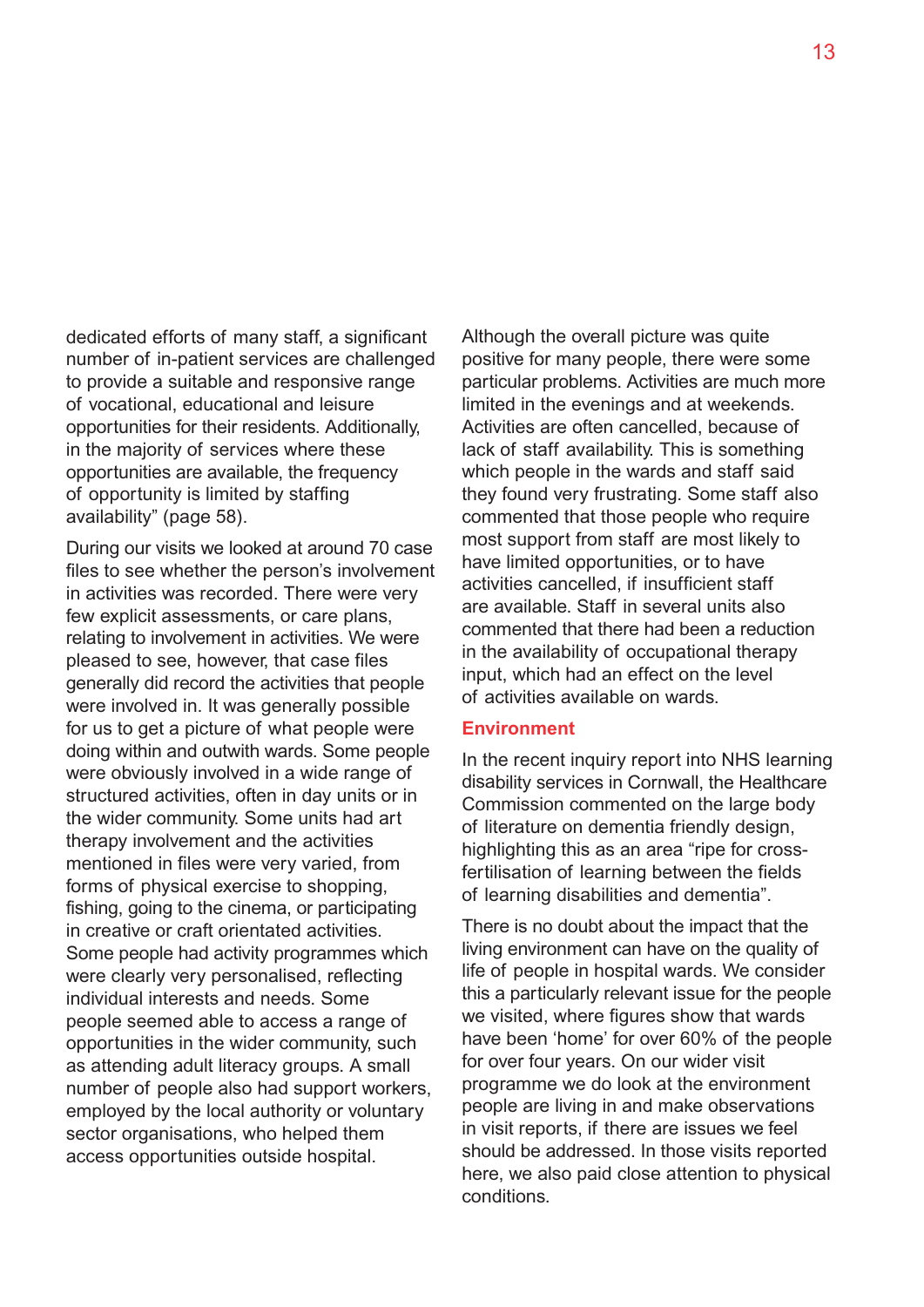dedicated efforts of many staff, a significant number of in-patient services are challenged to provide a suitable and responsive range of vocational, educational and leisure opportunities for their residents. Additionally, in the majority of services where these opportunities are available, the frequency of opportunity is limited by staffing availability" (page 58).

During our visits we looked at around 70 case files to see whether the person's involvement in activities was recorded. There were very few explicit assessments, or care plans, relating to involvement in activities. We were pleased to see, however, that case files generally did record the activities that people were involved in. It was generally possible for us to get a picture of what people were doing within and outwith wards. Some people were obviously involved in a wide range of structured activities, often in day units or in the wider community. Some units had art therapy involvement and the activities mentioned in files were very varied, from forms of physical exercise to shopping, fishing, going to the cinema, or participating in creative or craft orientated activities. Some people had activity programmes which were clearly very personalised, reflecting individual interests and needs. Some people seemed able to access a range of opportunities in the wider community, such as attending adult literacy groups. A small number of people also had support workers, employed by the local authority or voluntary sector organisations, who helped them access opportunities outside hospital.

Although the overall picture was quite positive for many people, there were some particular problems. Activities are much more limited in the evenings and at weekends. Activities are often cancelled, because of lack of staff availability. This is something which people in the wards and staff said they found very frustrating. Some staff also commented that those people who require most support from staff are most likely to have limited opportunities, or to have activities cancelled, if insufficient staff are available. Staff in several units also commented that there had been a reduction in the availability of occupational therapy input, which had an effect on the level of activities available on wards.

#### **Environment**

In the recent inquiry report into NHS learning disability services in Cornwall, the Healthcare Commission commented on the large body of literature on dementia friendly design, highlighting this as an area "ripe for crossfertilisation of learning between the fields of learning disabilities and dementia".

There is no doubt about the impact that the living environment can have on the quality of life of people in hospital wards. We consider this a particularly relevant issue for the people we visited, where figures show that wards have been 'home' for over 60% of the people for over four years. On our wider visit programme we do look at the environment people are living in and make observations in visit reports, if there are issues we feel should be addressed. In those visits reported here, we also paid close attention to physical conditions.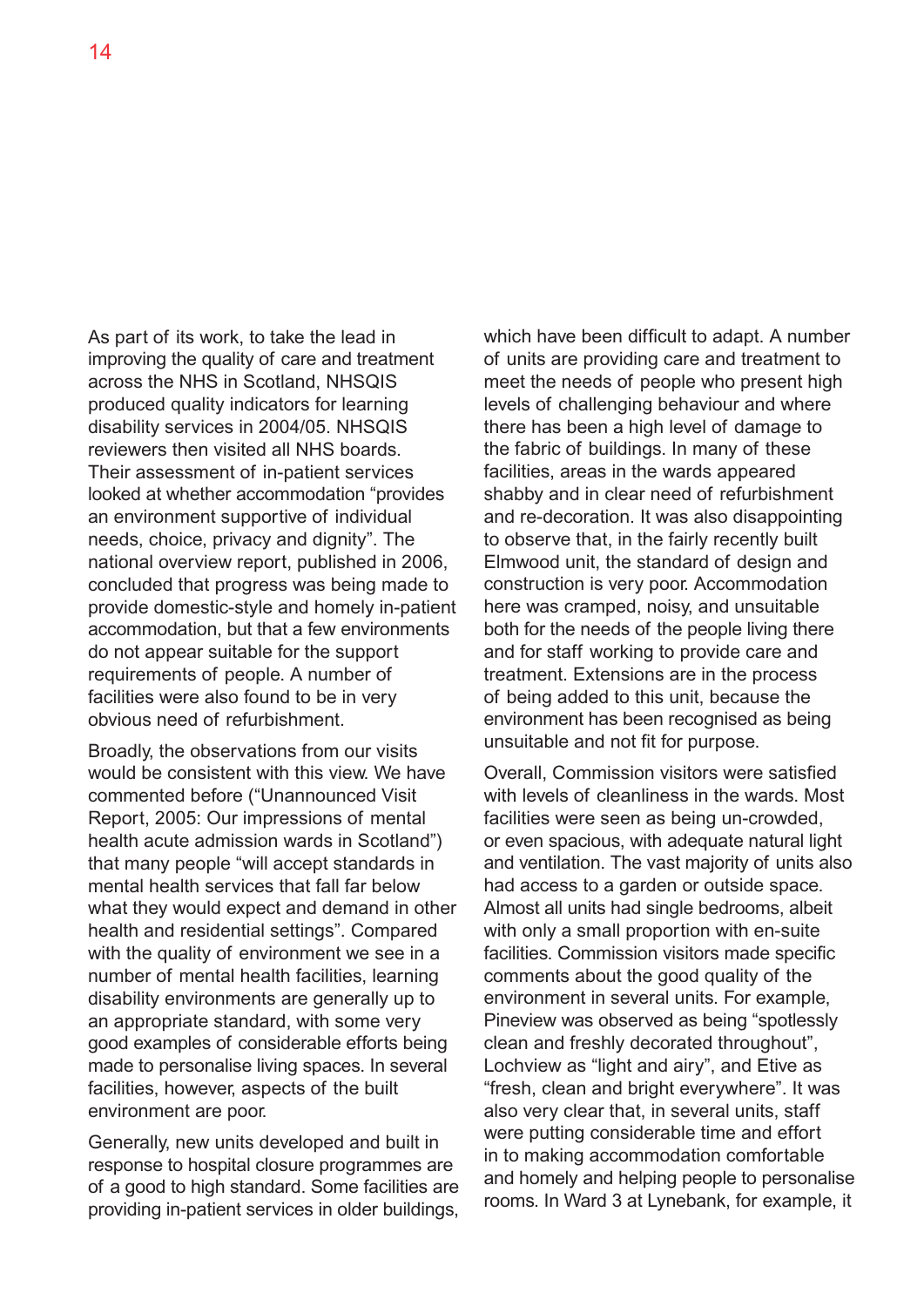As part of its work, to take the lead in improving the quality of care and treatment across the NHS in Scotland, NHSQIS produced quality indicators for learning disability services in 2004/05. NHSQIS reviewers then visited all NHS boards. Their assessment of in-patient services looked at whether accommodation "provides an environment supportive of individual needs, choice, privacy and dignity". The national overview report, published in 2006, concluded that progress was being made to provide domestic-style and homely in-patient accommodation, but that a few environments do not appear suitable for the support requirements of people. A number of facilities were also found to be in very obvious need of refurbishment.

Broadly, the observations from our visits would be consistent with this view. We have commented before ("Unannounced Visit Report, 2005: Our impressions of mental health acute admission wards in Scotland") that many people "will accept standards in mental health services that fall far below what they would expect and demand in other health and residential settings". Compared with the quality of environment we see in a number of mental health facilities, learning disability environments are generally up to an appropriate standard, with some very good examples of considerable efforts being made to personalise living spaces. In several facilities, however, aspects of the built environment are poor.

Generally, new units developed and built in response to hospital closure programmes are of a good to high standard. Some facilities are providing in-patient services in older buildings,

which have been difficult to adapt. A number of units are providing care and treatment to meet the needs of people who present high levels of challenging behaviour and where there has been a high level of damage to the fabric of buildings. In many of these facilities, areas in the wards appeared shabby and in clear need of refurbishment and re-decoration. It was also disappointing to observe that, in the fairly recently built Elmwood unit, the standard of design and construction is very poor. Accommodation here was cramped, noisy, and unsuitable both for the needs of the people living there and for staff working to provide care and treatment. Extensions are in the process of being added to this unit, because the environment has been recognised as being unsuitable and not fit for purpose.

Overall, Commission visitors were satisfied with levels of cleanliness in the wards. Most facilities were seen as being un-crowded, or even spacious, with adequate natural light and ventilation. The vast majority of units also had access to a garden or outside space. Almost all units had single bedrooms, albeit with only a small proportion with en-suite facilities. Commission visitors made specific comments about the good quality of the environment in several units. For example, Pineview was observed as being "spotlessly clean and freshly decorated throughout", Lochview as "light and airy", and Etive as "fresh, clean and bright everywhere". It was also very clear that, in several units, staff were putting considerable time and effort in to making accommodation comfortable and homely and helping people to personalise rooms. In Ward 3 at Lynebank, for example, it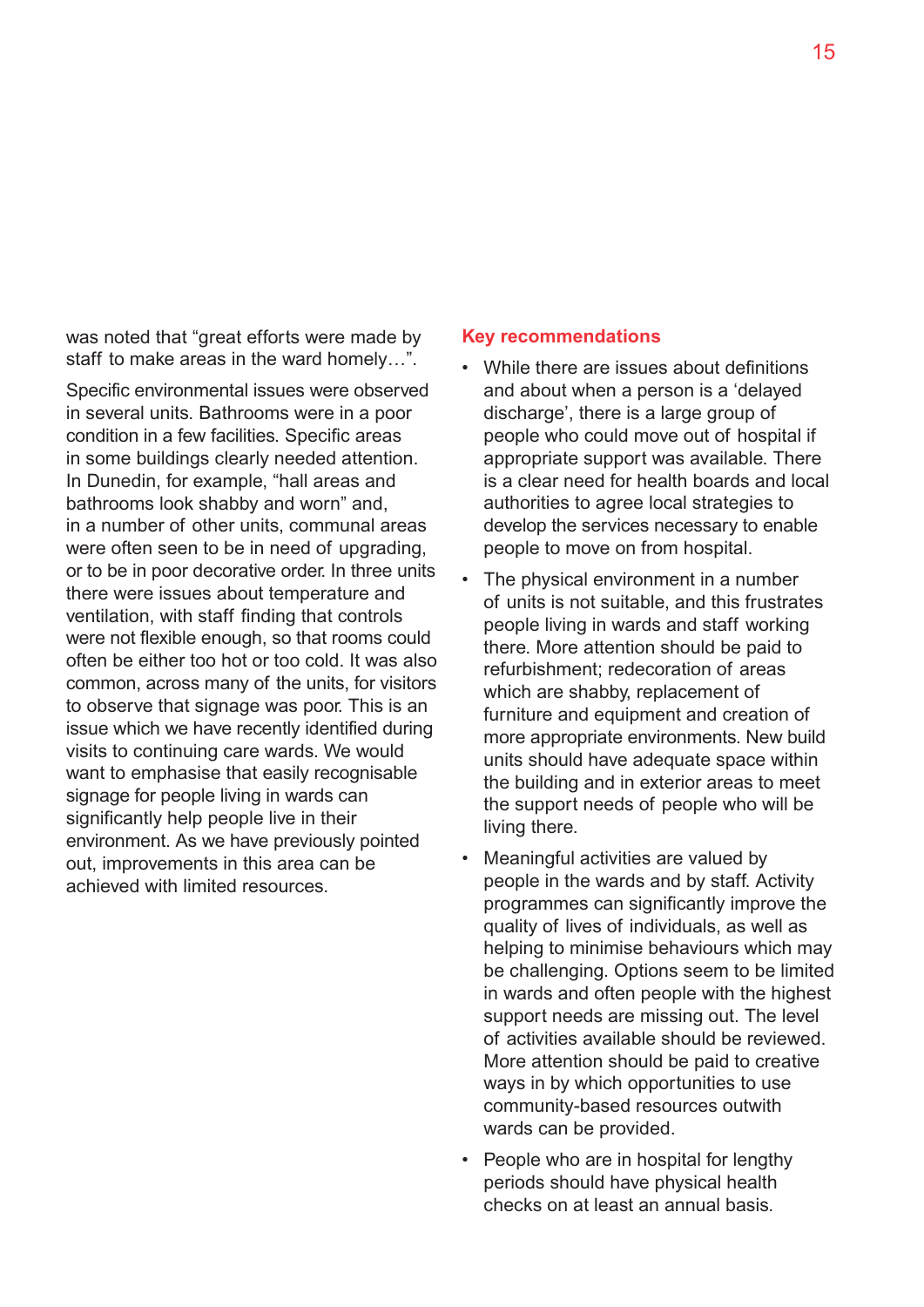was noted that "great efforts were made by staff to make areas in the ward homely…".

Specific environmental issues were observed in several units. Bathrooms were in a poor condition in a few facilities. Specific areas in some buildings clearly needed attention. In Dunedin, for example, "hall areas and bathrooms look shabby and worn" and, in a number of other units, communal areas were often seen to be in need of upgrading, or to be in poor decorative order. In three units there were issues about temperature and ventilation, with staff finding that controls were not flexible enough, so that rooms could often be either too hot or too cold. It was also common, across many of the units, for visitors to observe that signage was poor. This is an issue which we have recently identified during visits to continuing care wards. We would want to emphasise that easily recognisable signage for people living in wards can significantly help people live in their environment. As we have previously pointed out, improvements in this area can be achieved with limited resources.

#### **Key recommendations**

- While there are issues about definitions and about when a person is a 'delayed discharge', there is a large group of people who could move out of hospital if appropriate support was available. There is a clear need for health boards and local authorities to agree local strategies to develop the services necessary to enable people to move on from hospital.
- The physical environment in a number of units is not suitable, and this frustrates people living in wards and staff working there. More attention should be paid to refurbishment; redecoration of areas which are shabby, replacement of furniture and equipment and creation of more appropriate environments. New build units should have adequate space within the building and in exterior areas to meet the support needs of people who will be living there.
- Meaningful activities are valued by people in the wards and by staff. Activity programmes can significantly improve the quality of lives of individuals, as well as helping to minimise behaviours which may be challenging. Options seem to be limited in wards and often people with the highest support needs are missing out. The level of activities available should be reviewed. More attention should be paid to creative ways in by which opportunities to use community-based resources outwith wards can be provided.
- People who are in hospital for lengthy periods should have physical health checks on at least an annual basis.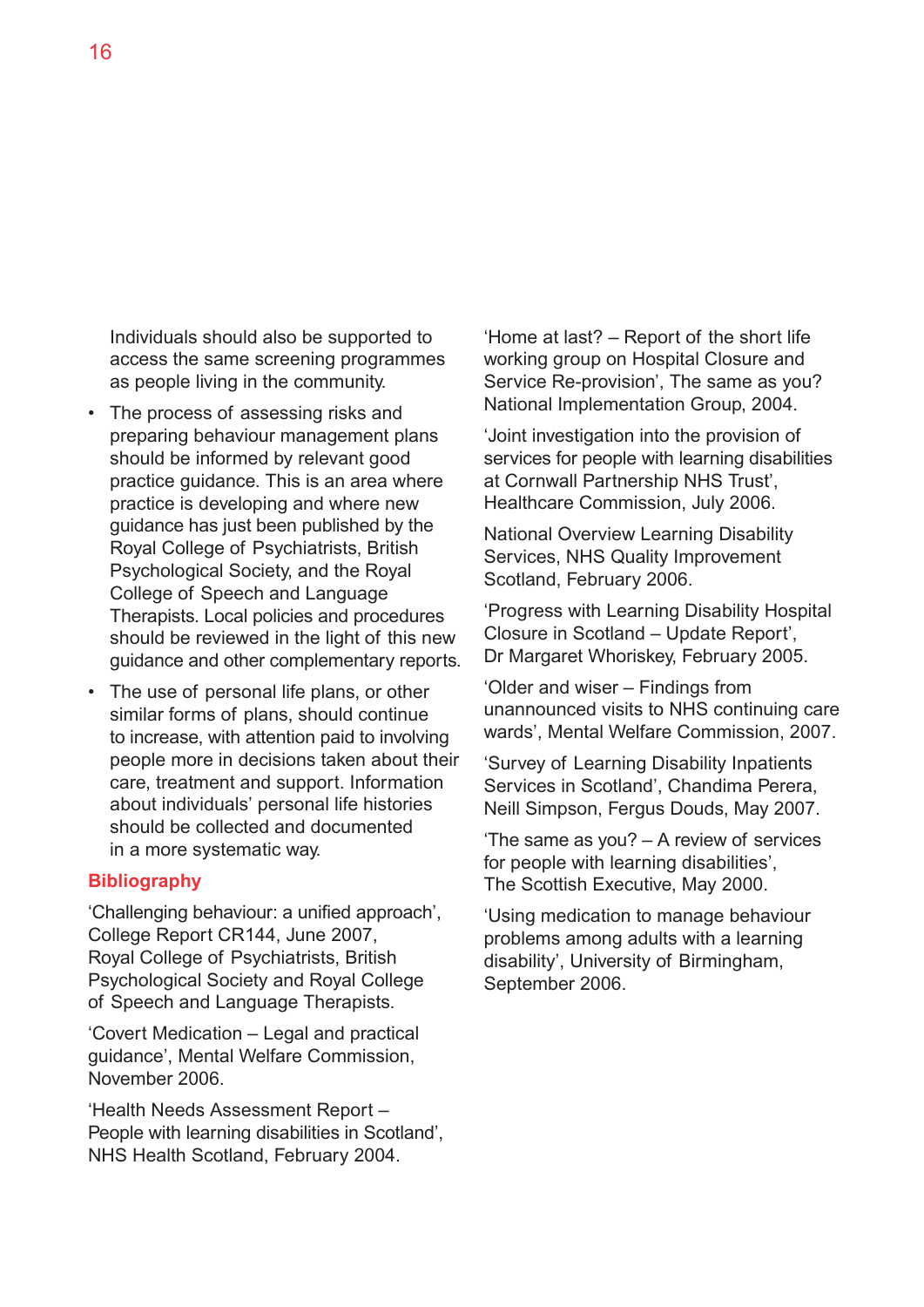Individuals should also be supported to access the same screening programmes as people living in the community.

- The process of assessing risks and preparing behaviour management plans should be informed by relevant good practice guidance. This is an area where practice is developing and where new guidance has just been published by the Royal College of Psychiatrists, British Psychological Society, and the Royal College of Speech and Language Therapists. Local policies and procedures should be reviewed in the light of this new guidance and other complementary reports.
- The use of personal life plans, or other similar forms of plans, should continue to increase, with attention paid to involving people more in decisions taken about their care, treatment and support. Information about individuals' personal life histories should be collected and documented in a more systematic way.

#### **Bibliography**

'Challenging behaviour: a unified approach', College Report CR144, June 2007, Royal College of Psychiatrists, British Psychological Society and Royal College of Speech and Language Therapists.

'Covert Medication – Legal and practical guidance', Mental Welfare Commission, November 2006.

'Health Needs Assessment Report – People with learning disabilities in Scotland', NHS Health Scotland, February 2004.

'Home at last? – Report of the short life working group on Hospital Closure and Service Re-provision', The same as you? National Implementation Group, 2004.

'Joint investigation into the provision of services for people with learning disabilities at Cornwall Partnership NHS Trust', Healthcare Commission, July 2006.

National Overview Learning Disability Services, NHS Quality Improvement Scotland, February 2006.

'Progress with Learning Disability Hospital Closure in Scotland – Update Report', Dr Margaret Whoriskey, February 2005.

'Older and wiser – Findings from unannounced visits to NHS continuing care wards', Mental Welfare Commission, 2007.

'Survey of Learning Disability Inpatients Services in Scotland', Chandima Perera, Neill Simpson, Fergus Douds, May 2007.

'The same as you? – A review of services for people with learning disabilities', The Scottish Executive, May 2000.

'Using medication to manage behaviour problems among adults with a learning disability', University of Birmingham, September 2006.